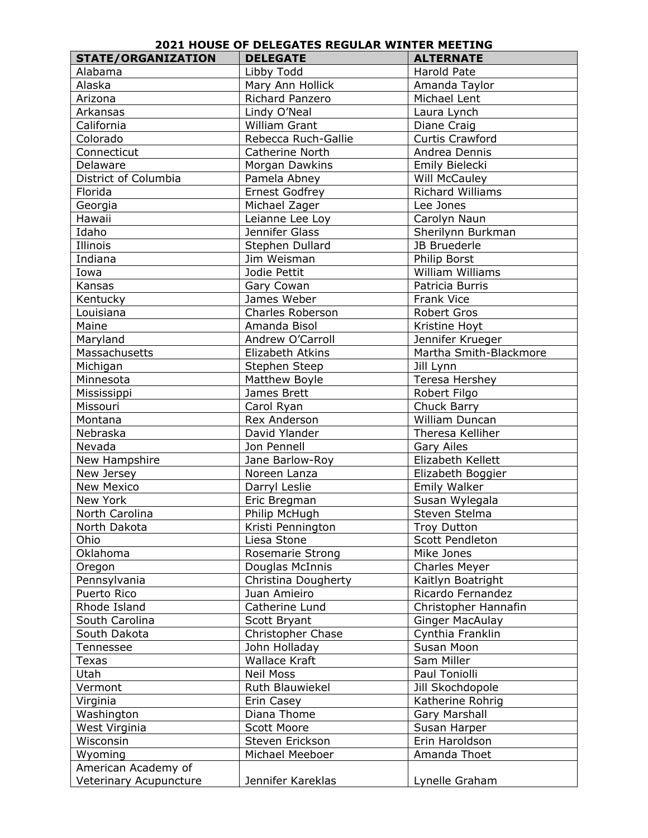## **2021 HOUSE OF DELEGATES REGULAR WINTER MEETING**

| <b>STATE/ORGANIZATION</b> | <b>DELEGATE</b>       | <b>ALTERNATE</b>       |
|---------------------------|-----------------------|------------------------|
| Alabama                   | Libby Todd            | Harold Pate            |
| Alaska                    | Mary Ann Hollick      | Amanda Taylor          |
| Arizona                   | Richard Panzero       | Michael Lent           |
| Arkansas                  | Lindy O'Neal          | Laura Lynch            |
| California                | William Grant         | Diane Craig            |
| Colorado                  | Rebecca Ruch-Gallie   | <b>Curtis Crawford</b> |
| Connecticut               | Catherine North       | Andrea Dennis          |
| Delaware                  | Morgan Dawkins        | Emily Bielecki         |
| District of Columbia      | Pamela Abney          | Will McCauley          |
| Florida                   | <b>Ernest Godfrey</b> | Richard Williams       |
| Georgia                   | Michael Zager         | Lee Jones              |
| Hawaii                    | Leianne Lee Loy       | Carolyn Naun           |
| Idaho                     | Jennifer Glass        | Sherilynn Burkman      |
| Illinois                  | Stephen Dullard       | JB Bruederle           |
| Indiana                   | Jim Weisman           | Philip Borst           |
| Iowa                      | Jodie Pettit          | William Williams       |
| Kansas                    | Gary Cowan            | Patricia Burris        |
| Kentucky                  | James Weber           | Frank Vice             |
| Louisiana                 | Charles Roberson      | Robert Gros            |
| Maine                     | Amanda Bisol          | Kristine Hoyt          |
| Maryland                  | Andrew O'Carroll      | Jennifer Krueger       |
| Massachusetts             | Elizabeth Atkins      | Martha Smith-Blackmore |
| Michigan                  | Stephen Steep         | Jill Lynn              |
| Minnesota                 | Matthew Boyle         | Teresa Hershey         |
| Mississippi               | James Brett           | Robert Filgo           |
| Missouri                  | Carol Ryan            | Chuck Barry            |
| Montana                   | Rex Anderson          | William Duncan         |
| Nebraska                  | David Ylander         | Theresa Kelliher       |
| Nevada                    | Jon Pennell           | <b>Gary Ailes</b>      |
| New Hampshire             | Jane Barlow-Roy       | Elizabeth Kellett      |
| New Jersey                | Noreen Lanza          | Elizabeth Boggier      |
| New Mexico                | Darryl Leslie         | Emily Walker           |
| New York                  | Eric Bregman          | Susan Wylegala         |
| North Carolina            | Philip McHugh         | Steven Stelma          |
| North Dakota              | Kristi Pennington     | Troy Dutton            |
| Ohio                      | Liesa Stone           | Scott Pendleton        |
| Oklahoma                  | Rosemarie Strong      | Mike Jones             |
| Oregon                    | Douglas McInnis       | <b>Charles Meyer</b>   |
| Pennsylvania              | Christina Dougherty   | Kaitlyn Boatright      |
| Puerto Rico               | Juan Amieiro          | Ricardo Fernandez      |
| Rhode Island              | Catherine Lund        | Christopher Hannafin   |
| South Carolina            | Scott Bryant          | <b>Ginger MacAulay</b> |
| South Dakota              | Christopher Chase     | Cynthia Franklin       |
| Tennessee                 | John Holladay         | Susan Moon             |
| Texas                     | <b>Wallace Kraft</b>  | Sam Miller             |
| Utah                      | <b>Neil Moss</b>      | Paul Toniolli          |
| Vermont                   | Ruth Blauwiekel       | Jill Skochdopole       |
| Virginia                  | Erin Casey            | Katherine Rohrig       |
| Washington                | Diana Thome           | Gary Marshall          |
| West Virginia             | Scott Moore           | Susan Harper           |
| Wisconsin                 | Steven Erickson       | Erin Haroldson         |
| Wyoming                   | Michael Meeboer       | Amanda Thoet           |
| American Academy of       |                       |                        |
| Veterinary Acupuncture    | Jennifer Kareklas     | Lynelle Graham         |